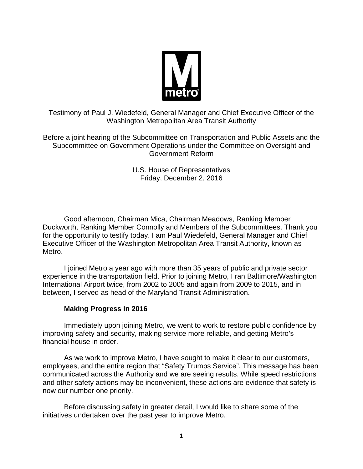

Testimony of Paul J. Wiedefeld, General Manager and Chief Executive Officer of the Washington Metropolitan Area Transit Authority

Before a joint hearing of the Subcommittee on Transportation and Public Assets and the Subcommittee on Government Operations under the Committee on Oversight and Government Reform

> U.S. House of Representatives Friday, December 2, 2016

Good afternoon, Chairman Mica, Chairman Meadows, Ranking Member Duckworth, Ranking Member Connolly and Members of the Subcommittees. Thank you for the opportunity to testify today. I am Paul Wiedefeld, General Manager and Chief Executive Officer of the Washington Metropolitan Area Transit Authority, known as Metro.

I joined Metro a year ago with more than 35 years of public and private sector experience in the transportation field. Prior to joining Metro, I ran Baltimore/Washington International Airport twice, from 2002 to 2005 and again from 2009 to 2015, and in between, I served as head of the Maryland Transit Administration.

# **Making Progress in 2016**

Immediately upon joining Metro, we went to work to restore public confidence by improving safety and security, making service more reliable, and getting Metro's financial house in order.

As we work to improve Metro, I have sought to make it clear to our customers, employees, and the entire region that "Safety Trumps Service". This message has been communicated across the Authority and we are seeing results. While speed restrictions and other safety actions may be inconvenient, these actions are evidence that safety is now our number one priority.

Before discussing safety in greater detail, I would like to share some of the initiatives undertaken over the past year to improve Metro.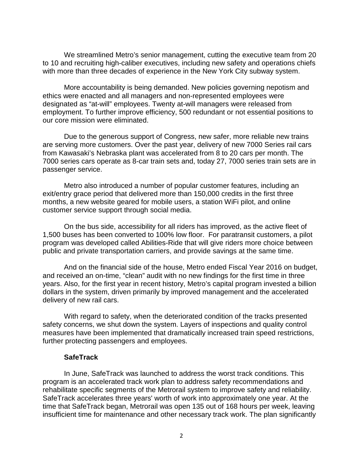We streamlined Metro's senior management, cutting the executive team from 20 to 10 and recruiting high-caliber executives, including new safety and operations chiefs with more than three decades of experience in the New York City subway system.

More accountability is being demanded. New policies governing nepotism and ethics were enacted and all managers and non-represented employees were designated as "at-will" employees. Twenty at-will managers were released from employment. To further improve efficiency, 500 redundant or not essential positions to our core mission were eliminated.

Due to the generous support of Congress, new safer, more reliable new trains are serving more customers. Over the past year, delivery of new 7000 Series rail cars from Kawasaki's Nebraska plant was accelerated from 8 to 20 cars per month. The 7000 series cars operate as 8-car train sets and, today 27, 7000 series train sets are in passenger service.

Metro also introduced a number of popular customer features, including an exit/entry grace period that delivered more than 150,000 credits in the first three months, a new website geared for mobile users, a station WiFi pilot, and online customer service support through social media.

On the bus side, accessibility for all riders has improved, as the active fleet of 1,500 buses has been converted to 100% low floor. For paratransit customers, a pilot program was developed called Abilities-Ride that will give riders more choice between public and private transportation carriers, and provide savings at the same time.

And on the financial side of the house, Metro ended Fiscal Year 2016 on budget, and received an on-time, "clean" audit with no new findings for the first time in three years. Also, for the first year in recent history, Metro's capital program invested a billion dollars in the system, driven primarily by improved management and the accelerated delivery of new rail cars.

With regard to safety, when the deteriorated condition of the tracks presented safety concerns, we shut down the system. Layers of inspections and quality control measures have been implemented that dramatically increased train speed restrictions, further protecting passengers and employees.

#### **SafeTrack**

In June, SafeTrack was launched to address the worst track conditions. This program is an accelerated track work plan to address safety recommendations and rehabilitate specific segments of the Metrorail system to improve safety and reliability. SafeTrack accelerates three years' worth of work into approximately one year. At the time that SafeTrack began, Metrorail was open 135 out of 168 hours per week, leaving insufficient time for maintenance and other necessary track work. The plan significantly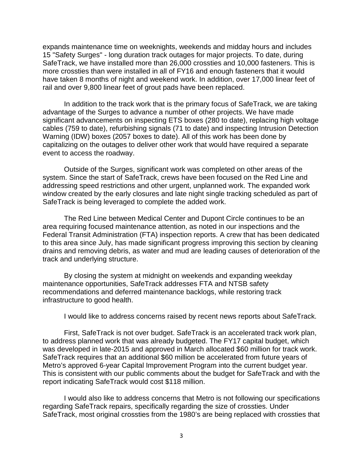expands maintenance time on weeknights, weekends and midday hours and includes 15 "Safety Surges" - long duration track outages for major projects. To date, during SafeTrack, we have installed more than 26,000 crossties and 10,000 fasteners. This is more crossties than were installed in all of FY16 and enough fasteners that it would have taken 8 months of night and weekend work. In addition, over 17,000 linear feet of rail and over 9,800 linear feet of grout pads have been replaced.

In addition to the track work that is the primary focus of SafeTrack, we are taking advantage of the Surges to advance a number of other projects. We have made significant advancements on inspecting ETS boxes (280 to date), replacing high voltage cables (759 to date), refurbishing signals (71 to date) and inspecting Intrusion Detection Warning (IDW) boxes (2057 boxes to date). All of this work has been done by capitalizing on the outages to deliver other work that would have required a separate event to access the roadway.

Outside of the Surges, significant work was completed on other areas of the system. Since the start of SafeTrack, crews have been focused on the Red Line and addressing speed restrictions and other urgent, unplanned work. The expanded work window created by the early closures and late night single tracking scheduled as part of SafeTrack is being leveraged to complete the added work.

The Red Line between Medical Center and Dupont Circle continues to be an area requiring focused maintenance attention, as noted in our inspections and the Federal Transit Administration (FTA) inspection reports. A crew that has been dedicated to this area since July, has made significant progress improving this section by cleaning drains and removing debris, as water and mud are leading causes of deterioration of the track and underlying structure.

By closing the system at midnight on weekends and expanding weekday maintenance opportunities, SafeTrack addresses FTA and NTSB safety recommendations and deferred maintenance backlogs, while restoring track infrastructure to good health.

I would like to address concerns raised by recent news reports about SafeTrack.

First, SafeTrack is not over budget. SafeTrack is an accelerated track work plan, to address planned work that was already budgeted. The FY17 capital budget, which was developed in late-2015 and approved in March allocated \$60 million for track work. SafeTrack requires that an additional \$60 million be accelerated from future years of Metro's approved 6-year Capital Improvement Program into the current budget year. This is consistent with our public comments about the budget for SafeTrack and with the report indicating SafeTrack would cost \$118 million.

I would also like to address concerns that Metro is not following our specifications regarding SafeTrack repairs, specifically regarding the size of crossties. Under SafeTrack, most original crossties from the 1980's are being replaced with crossties that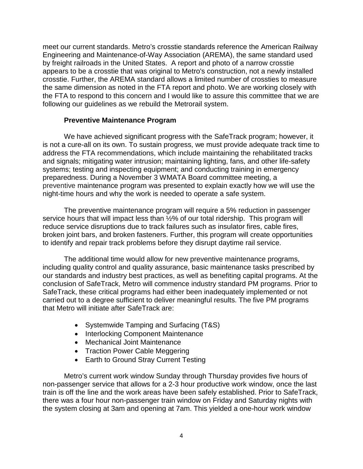meet our current standards. Metro's crosstie standards reference the American Railway Engineering and Maintenance-of-Way Association (AREMA), the same standard used by freight railroads in the United States. A report and photo of a narrow crosstie appears to be a crosstie that was original to Metro's construction, not a newly installed crosstie. Further, the AREMA standard allows a limited number of crossties to measure the same dimension as noted in the FTA report and photo. We are working closely with the FTA to respond to this concern and I would like to assure this committee that we are following our guidelines as we rebuild the Metrorail system.

## **Preventive Maintenance Program**

We have achieved significant progress with the SafeTrack program; however, it is not a cure-all on its own. To sustain progress, we must provide adequate track time to address the FTA recommendations, which include maintaining the rehabilitated tracks and signals; mitigating water intrusion; maintaining lighting, fans, and other life-safety systems; testing and inspecting equipment; and conducting training in emergency preparedness. During a November 3 WMATA Board committee meeting, a preventive maintenance program was presented to explain exactly how we will use the night-time hours and why the work is needed to operate a safe system.

The preventive maintenance program will require a 5% reduction in passenger service hours that will impact less than ½% of our total ridership. This program will reduce service disruptions due to track failures such as insulator fires, cable fires, broken joint bars, and broken fasteners. Further, this program will create opportunities to identify and repair track problems before they disrupt daytime rail service.

The additional time would allow for new preventive maintenance programs, including quality control and quality assurance, basic maintenance tasks prescribed by our standards and industry best practices, as well as benefiting capital programs. At the conclusion of SafeTrack, Metro will commence industry standard PM programs. Prior to SafeTrack, these critical programs had either been inadequately implemented or not carried out to a degree sufficient to deliver meaningful results. The five PM programs that Metro will initiate after SafeTrack are:

- Systemwide Tamping and Surfacing (T&S)
- Interlocking Component Maintenance
- Mechanical Joint Maintenance
- Traction Power Cable Meggering
- Earth to Ground Stray Current Testing

Metro's current work window Sunday through Thursday provides five hours of non-passenger service that allows for a 2-3 hour productive work window, once the last train is off the line and the work areas have been safely established. Prior to SafeTrack, there was a four hour non-passenger train window on Friday and Saturday nights with the system closing at 3am and opening at 7am. This yielded a one-hour work window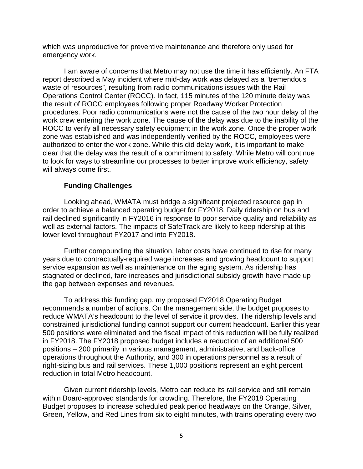which was unproductive for preventive maintenance and therefore only used for emergency work.

I am aware of concerns that Metro may not use the time it has efficiently. An FTA report described a May incident where mid-day work was delayed as a "tremendous waste of resources", resulting from radio communications issues with the Rail Operations Control Center (ROCC). In fact, 115 minutes of the 120 minute delay was the result of ROCC employees following proper Roadway Worker Protection procedures. Poor radio communications were not the cause of the two hour delay of the work crew entering the work zone. The cause of the delay was due to the inability of the ROCC to verify all necessary safety equipment in the work zone. Once the proper work zone was established and was independently verified by the ROCC, employees were authorized to enter the work zone. While this did delay work, it is important to make clear that the delay was the result of a commitment to safety. While Metro will continue to look for ways to streamline our processes to better improve work efficiency, safety will always come first.

## **Funding Challenges**

Looking ahead, WMATA must bridge a significant projected resource gap in order to achieve a balanced operating budget for FY2018. Daily ridership on bus and rail declined significantly in FY2016 in response to poor service quality and reliability as well as external factors. The impacts of SafeTrack are likely to keep ridership at this lower level throughout FY2017 and into FY2018.

Further compounding the situation, labor costs have continued to rise for many years due to contractually-required wage increases and growing headcount to support service expansion as well as maintenance on the aging system. As ridership has stagnated or declined, fare increases and jurisdictional subsidy growth have made up the gap between expenses and revenues.

To address this funding gap, my proposed FY2018 Operating Budget recommends a number of actions. On the management side, the budget proposes to reduce WMATA's headcount to the level of service it provides. The ridership levels and constrained jurisdictional funding cannot support our current headcount. Earlier this year 500 positions were eliminated and the fiscal impact of this reduction will be fully realized in FY2018. The FY2018 proposed budget includes a reduction of an additional 500 positions – 200 primarily in various management, administrative, and back-office operations throughout the Authority, and 300 in operations personnel as a result of right-sizing bus and rail services. These 1,000 positions represent an eight percent reduction in total Metro headcount.

Given current ridership levels, Metro can reduce its rail service and still remain within Board-approved standards for crowding. Therefore, the FY2018 Operating Budget proposes to increase scheduled peak period headways on the Orange, Silver, Green, Yellow, and Red Lines from six to eight minutes, with trains operating every two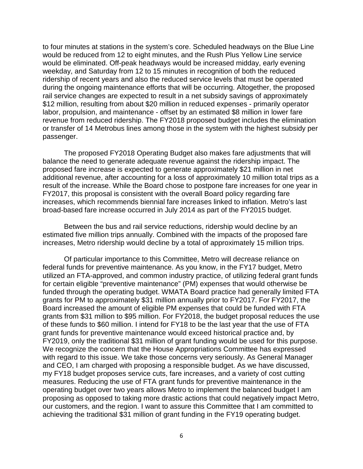to four minutes at stations in the system's core. Scheduled headways on the Blue Line would be reduced from 12 to eight minutes, and the Rush Plus Yellow Line service would be eliminated. Off-peak headways would be increased midday, early evening weekday, and Saturday from 12 to 15 minutes in recognition of both the reduced ridership of recent years and also the reduced service levels that must be operated during the ongoing maintenance efforts that will be occurring. Altogether, the proposed rail service changes are expected to result in a net subsidy savings of approximately \$12 million, resulting from about \$20 million in reduced expenses - primarily operator labor, propulsion, and maintenance - offset by an estimated \$8 million in lower fare revenue from reduced ridership. The FY2018 proposed budget includes the elimination or transfer of 14 Metrobus lines among those in the system with the highest subsidy per passenger.

The proposed FY2018 Operating Budget also makes fare adjustments that will balance the need to generate adequate revenue against the ridership impact. The proposed fare increase is expected to generate approximately \$21 million in net additional revenue, after accounting for a loss of approximately 10 million total trips as a result of the increase. While the Board chose to postpone fare increases for one year in FY2017, this proposal is consistent with the overall Board policy regarding fare increases, which recommends biennial fare increases linked to inflation. Metro's last broad-based fare increase occurred in July 2014 as part of the FY2015 budget.

Between the bus and rail service reductions, ridership would decline by an estimated five million trips annually. Combined with the impacts of the proposed fare increases, Metro ridership would decline by a total of approximately 15 million trips.

Of particular importance to this Committee, Metro will decrease reliance on federal funds for preventive maintenance. As you know, in the FY17 budget, Metro utilized an FTA-approved, and common industry practice, of utilizing federal grant funds for certain eligible "preventive maintenance" (PM) expenses that would otherwise be funded through the operating budget. WMATA Board practice had generally limited FTA grants for PM to approximately \$31 million annually prior to FY2017. For FY2017, the Board increased the amount of eligible PM expenses that could be funded with FTA grants from \$31 million to \$95 million. For FY2018, the budget proposal reduces the use of these funds to \$60 million. I intend for FY18 to be the last year that the use of FTA grant funds for preventive maintenance would exceed historical practice and, by FY2019, only the traditional \$31 million of grant funding would be used for this purpose. We recognize the concern that the House Appropriations Committee has expressed with regard to this issue. We take those concerns very seriously. As General Manager and CEO, I am charged with proposing a responsible budget. As we have discussed, my FY18 budget proposes service cuts, fare increases, and a variety of cost cutting measures. Reducing the use of FTA grant funds for preventive maintenance in the operating budget over two years allows Metro to implement the balanced budget I am proposing as opposed to taking more drastic actions that could negatively impact Metro, our customers, and the region. I want to assure this Committee that I am committed to achieving the traditional \$31 million of grant funding in the FY19 operating budget.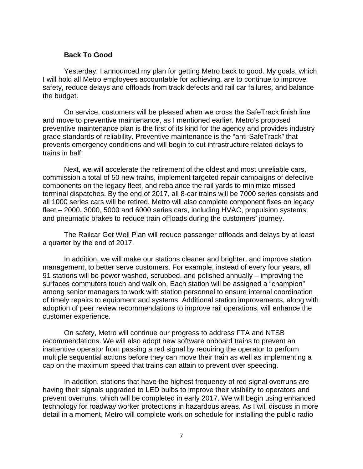#### **Back To Good**

Yesterday, I announced my plan for getting Metro back to good. My goals, which I will hold all Metro employees accountable for achieving, are to continue to improve safety, reduce delays and offloads from track defects and rail car failures, and balance the budget.

On service, customers will be pleased when we cross the SafeTrack finish line and move to preventive maintenance, as I mentioned earlier. Metro's proposed preventive maintenance plan is the first of its kind for the agency and provides industry grade standards of reliability. Preventive maintenance is the "anti-SafeTrack" that prevents emergency conditions and will begin to cut infrastructure related delays to trains in half.

Next, we will accelerate the retirement of the oldest and most unreliable cars, commission a total of 50 new trains, implement targeted repair campaigns of defective components on the legacy fleet, and rebalance the rail yards to minimize missed terminal dispatches. By the end of 2017, all 8-car trains will be 7000 series consists and all 1000 series cars will be retired. Metro will also complete component fixes on legacy fleet – 2000, 3000, 5000 and 6000 series cars, including HVAC, propulsion systems, and pneumatic brakes to reduce train offloads during the customers' journey.

The Railcar Get Well Plan will reduce passenger offloads and delays by at least a quarter by the end of 2017.

In addition, we will make our stations cleaner and brighter, and improve station management, to better serve customers. For example, instead of every four years, all 91 stations will be power washed, scrubbed, and polished annually – improving the surfaces commuters touch and walk on. Each station will be assigned a "champion" among senior managers to work with station personnel to ensure internal coordination of timely repairs to equipment and systems. Additional station improvements, along with adoption of peer review recommendations to improve rail operations, will enhance the customer experience.

On safety, Metro will continue our progress to address FTA and NTSB recommendations. We will also adopt new software onboard trains to prevent an inattentive operator from passing a red signal by requiring the operator to perform multiple sequential actions before they can move their train as well as implementing a cap on the maximum speed that trains can attain to prevent over speeding.

In addition, stations that have the highest frequency of red signal overruns are having their signals upgraded to LED bulbs to improve their visibility to operators and prevent overruns, which will be completed in early 2017. We will begin using enhanced technology for roadway worker protections in hazardous areas. As I will discuss in more detail in a moment, Metro will complete work on schedule for installing the public radio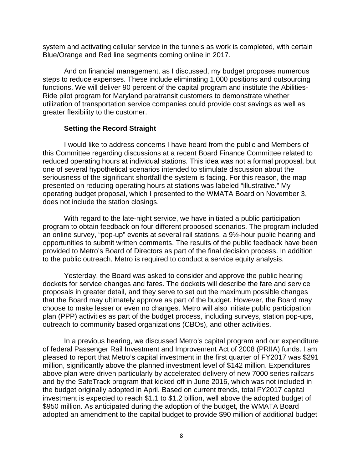system and activating cellular service in the tunnels as work is completed, with certain Blue/Orange and Red line segments coming online in 2017.

And on financial management, as I discussed, my budget proposes numerous steps to reduce expenses. These include eliminating 1,000 positions and outsourcing functions. We will deliver 90 percent of the capital program and institute the Abilities-Ride pilot program for Maryland paratransit customers to demonstrate whether utilization of transportation service companies could provide cost savings as well as greater flexibility to the customer.

#### **Setting the Record Straight**

I would like to address concerns I have heard from the public and Members of this Committee regarding discussions at a recent Board Finance Committee related to reduced operating hours at individual stations. This idea was not a formal proposal, but one of several hypothetical scenarios intended to stimulate discussion about the seriousness of the significant shortfall the system is facing. For this reason, the map presented on reducing operating hours at stations was labeled "illustrative." My operating budget proposal, which I presented to the WMATA Board on November 3, does not include the station closings.

With regard to the late-night service, we have initiated a public participation program to obtain feedback on four different proposed scenarios. The program included an online survey, "pop-up" events at several rail stations, a 9½-hour public hearing and opportunities to submit written comments. The results of the public feedback have been provided to Metro's Board of Directors as part of the final decision process. In addition to the public outreach, Metro is required to conduct a service equity analysis.

Yesterday, the Board was asked to consider and approve the public hearing dockets for service changes and fares. The dockets will describe the fare and service proposals in greater detail, and they serve to set out the maximum possible changes that the Board may ultimately approve as part of the budget. However, the Board may choose to make lesser or even no changes. Metro will also initiate public participation plan (PPP) activities as part of the budget process, including surveys, station pop-ups, outreach to community based organizations (CBOs), and other activities.

In a previous hearing, we discussed Metro's capital program and our expenditure of federal Passenger Rail Investment and Improvement Act of 2008 (PRIIA) funds. I am pleased to report that Metro's capital investment in the first quarter of FY2017 was \$291 million, significantly above the planned investment level of \$142 million. Expenditures above plan were driven particularly by accelerated delivery of new 7000 series railcars and by the SafeTrack program that kicked off in June 2016, which was not included in the budget originally adopted in April. Based on current trends, total FY2017 capital investment is expected to reach \$1.1 to \$1.2 billion, well above the adopted budget of \$950 million. As anticipated during the adoption of the budget, the WMATA Board adopted an amendment to the capital budget to provide \$90 million of additional budget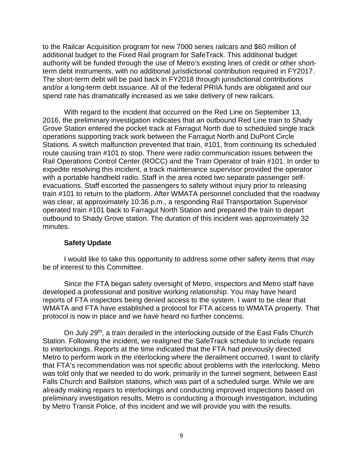to the Railcar Acquisition program for new 7000 series railcars and \$60 million of additional budget to the Fixed Rail program for SafeTrack. This additional budget authority will be funded through the use of Metro's existing lines of credit or other shortterm debt instruments, with no additional jurisdictional contribution required in FY2017. The short-term debt will be paid back in FY2018 through jurisdictional contributions and/or a long-term debt issuance. All of the federal PRIIA funds are obligated and our spend rate has dramatically increased as we take delivery of new railcars.

With regard to the incident that occurred on the Red Line on September 13, 2016, the preliminary investigation indicates that an outbound Red Line train to Shady Grove Station entered the pocket track at Farragut North due to scheduled single track operations supporting track work between the Farragut North and DuPont Circle Stations. A switch malfunction prevented that train, #101, from continuing its scheduled route causing train #101 to stop. There were radio communication issues between the Rail Operations Control Center (ROCC) and the Train Operator of train #101. In order to expedite resolving this incident, a track maintenance supervisor provided the operator with a portable handheld radio. Staff in the area noted two separate passenger selfevacuations. Staff escorted the passengers to safety without injury prior to releasing train #101 to return to the platform. After WMATA personnel concluded that the roadway was clear, at approximately 10:36 p.m., a responding Rail Transportation Supervisor operated train #101 back to Farragut North Station and prepared the train to depart outbound to Shady Grove station. The duration of this incident was approximately 32 minutes.

## **Safety Update**

I would like to take this opportunity to address some other safety items that may be of interest to this Committee.

Since the FTA began safety oversight of Metro, inspectors and Metro staff have developed a professional and positive working relationship. You may have heard reports of FTA inspectors being denied access to the system. I want to be clear that WMATA and FTA have established a protocol for FTA access to WMATA property. That protocol is now in place and we have heard no further concerns.

On July 29<sup>th</sup>, a train derailed in the interlocking outside of the East Falls Church Station. Following the incident, we realigned the SafeTrack schedule to include repairs to interlockings. Reports at the time indicated that the FTA had previously directed Metro to perform work in the interlocking where the derailment occurred. I want to clarify that FTA's recommendation was not specific about problems with the interlocking. Metro was told only that we needed to do work, primarily in the tunnel segment, between East Falls Church and Ballston stations, which was part of a scheduled surge. While we are already making repairs to interlockings and conducting improved inspections based on preliminary investigation results, Metro is conducting a thorough investigation, including by Metro Transit Police, of this incident and we will provide you with the results.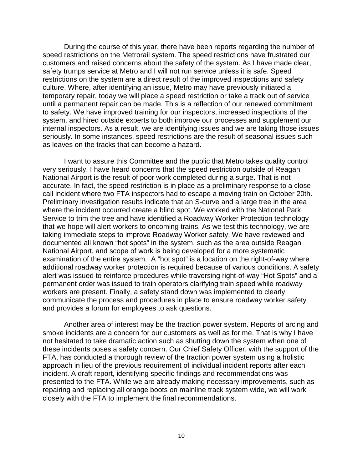During the course of this year, there have been reports regarding the number of speed restrictions on the Metrorail system. The speed restrictions have frustrated our customers and raised concerns about the safety of the system. As I have made clear, safety trumps service at Metro and I will not run service unless it is safe. Speed restrictions on the system are a direct result of the improved inspections and safety culture. Where, after identifying an issue, Metro may have previously initiated a temporary repair, today we will place a speed restriction or take a track out of service until a permanent repair can be made. This is a reflection of our renewed commitment to safety. We have improved training for our inspectors, increased inspections of the system, and hired outside experts to both improve our processes and supplement our internal inspectors. As a result, we are identifying issues and we are taking those issues seriously. In some instances, speed restrictions are the result of seasonal issues such as leaves on the tracks that can become a hazard.

I want to assure this Committee and the public that Metro takes quality control very seriously. I have heard concerns that the speed restriction outside of Reagan National Airport is the result of poor work completed during a surge. That is not accurate. In fact, the speed restriction is in place as a preliminary response to a close call incident where two FTA inspectors had to escape a moving train on October 20th. Preliminary investigation results indicate that an S-curve and a large tree in the area where the incident occurred create a blind spot. We worked with the National Park Service to trim the tree and have identified a Roadway Worker Protection technology that we hope will alert workers to oncoming trains. As we test this technology, we are taking immediate steps to improve Roadway Worker safety. We have reviewed and documented all known "hot spots" in the system, such as the area outside Reagan National Airport, and scope of work is being developed for a more systematic examination of the entire system. A "hot spot" is a location on the right-of-way where additional roadway worker protection is required because of various conditions. A safety alert was issued to reinforce procedures while traversing right-of-way "Hot Spots" and a permanent order was issued to train operators clarifying train speed while roadway workers are present. Finally, a safety stand down was implemented to clearly communicate the process and procedures in place to ensure roadway worker safety and provides a forum for employees to ask questions.

Another area of interest may be the traction power system. Reports of arcing and smoke incidents are a concern for our customers as well as for me. That is why I have not hesitated to take dramatic action such as shutting down the system when one of these incidents poses a safety concern. Our Chief Safety Officer, with the support of the FTA, has conducted a thorough review of the traction power system using a holistic approach in lieu of the previous requirement of individual incident reports after each incident. A draft report, identifying specific findings and recommendations was presented to the FTA. While we are already making necessary improvements, such as repairing and replacing all orange boots on mainline track system wide, we will work closely with the FTA to implement the final recommendations.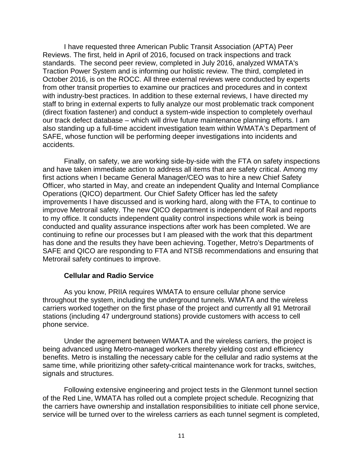I have requested three American Public Transit Association (APTA) Peer Reviews. The first, held in April of 2016, focused on track inspections and track standards. The second peer review, completed in July 2016, analyzed WMATA's Traction Power System and is informing our holistic review. The third, completed in October 2016, is on the ROCC. All three external reviews were conducted by experts from other transit properties to examine our practices and procedures and in context with industry-best practices. In addition to these external reviews, I have directed my staff to bring in external experts to fully analyze our most problematic track component (direct fixation fastener) and conduct a system-wide inspection to completely overhaul our track defect database – which will drive future maintenance planning efforts. I am also standing up a full-time accident investigation team within WMATA's Department of SAFE, whose function will be performing deeper investigations into incidents and accidents.

Finally, on safety, we are working side-by-side with the FTA on safety inspections and have taken immediate action to address all items that are safety critical. Among my first actions when I became General Manager/CEO was to hire a new Chief Safety Officer, who started in May, and create an independent Quality and Internal Compliance Operations (QICO) department. Our Chief Safety Officer has led the safety improvements I have discussed and is working hard, along with the FTA, to continue to improve Metrorail safety. The new QICO department is independent of Rail and reports to my office. It conducts independent quality control inspections while work is being conducted and quality assurance inspections after work has been completed. We are continuing to refine our processes but I am pleased with the work that this department has done and the results they have been achieving. Together, Metro's Departments of SAFE and QICO are responding to FTA and NTSB recommendations and ensuring that Metrorail safety continues to improve.

## **Cellular and Radio Service**

As you know, PRIIA requires WMATA to ensure cellular phone service throughout the system, including the underground tunnels. WMATA and the wireless carriers worked together on the first phase of the project and currently all 91 Metrorail stations (including 47 underground stations) provide customers with access to cell phone service.

Under the agreement between WMATA and the wireless carriers, the project is being advanced using Metro-managed workers thereby yielding cost and efficiency benefits. Metro is installing the necessary cable for the cellular and radio systems at the same time, while prioritizing other safety-critical maintenance work for tracks, switches, signals and structures.

Following extensive engineering and project tests in the Glenmont tunnel section of the Red Line, WMATA has rolled out a complete project schedule. Recognizing that the carriers have ownership and installation responsibilities to initiate cell phone service, service will be turned over to the wireless carriers as each tunnel segment is completed,